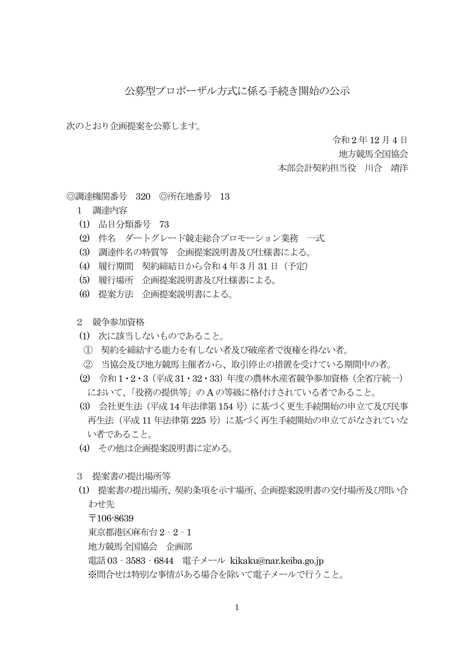## 公募型プロポーザル方式に係る手続き開始の公示

次のとおり企画提案を公募します。

令和 2 年12 月4 日

地方競馬全国協会

本部会計契約担当役 川合 靖洋

◎調達機関番号 320 ◎所在地番号 13

- 1 調達内容
- (1) 品目分類番号 73
- (2) 件名 ダートグレード競走総合プロモーション業務 一式
- (3) 調達件名の特質等 企画提案説明書及び仕様書による。
- (4) 履行期間 契約締結日から令和4 年 3 月31 日(予定)
- (5) 履行場所 企画提案説明書及び仕様書による。
- (6) 提案方法 企画提案説明書による。

2 競争参加資格

- (1) 次に該当しないものであること。
- ① 契約を締結する能力を有しない者及び破産者で復権を得ない者。
- ② 当協会及び地方競馬主催者から、取引停止の措置を受けている期間中の者。
- (2) 令和1・2・3(平成31・32・33)年度の農林水産省競争参加資格(全省庁統一) において、「役務の提供等」の A の等級に格付けされている者であること。
- (3) 会社更生法(平成14 年法律第154 号)に基づく更生手続開始の申立て及び民事 再生法(平成 11 年法律第 225 号)に基づく再生手続開始の申立てがなされていな い者であること。
- (4) その他は企画提案説明書に定める。
- 3 提案書の提出場所等
- (1) 提案書の提出場所、契約条項を示す場所、企画提案説明書の交付場所及び問い合 わせ先

〒106-8639

東京都港区麻布台2‐2‐1

地方競馬全国協会 企画部

電話03‐3583‐6844 電子メール kikaku@nar.keiba.go.jp

※問合せは特別な事情がある場合を除いて電子メールで行うこと。